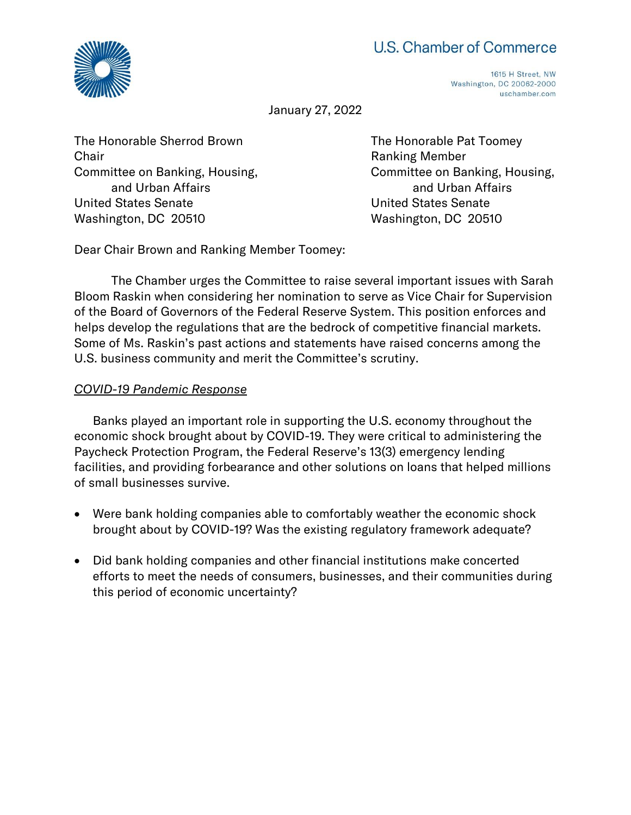# U.S. Chamber of Commerce



1615 H Street, NW Washington, DC 20062-2000 uschamber.com

January 27, 2022

The Honorable Sherrod Brown The Honorable Pat Toomey **Chair Chair** Chair **Chair Chair Chair Chair Chair Chair Chair Chair Chair Chair Chair Chair Chair Chair Chair Chair Chair Chair Chair Chair Chair Chair Chair Chair Chair** and Urban Affairs and Urban Affairs United States Senate United States Senate Washington, DC 20510 Washington, DC 20510

Committee on Banking, Housing, Committee on Banking, Housing,

Dear Chair Brown and Ranking Member Toomey:

The Chamber urges the Committee to raise several important issues with Sarah Bloom Raskin when considering her nomination to serve as Vice Chair for Supervision of the Board of Governors of the Federal Reserve System. This position enforces and helps develop the regulations that are the bedrock of competitive financial markets. Some of Ms. Raskin's past actions and statements have raised concerns among the U.S. business community and merit the Committee's scrutiny.

### *COVID-19 Pandemic Response*

Banks played an important role in supporting the U.S. economy throughout the economic shock brought about by COVID-19. They were critical to administering the Paycheck Protection Program, the Federal Reserve's 13(3) emergency lending facilities, and providing forbearance and other solutions on loans that helped millions of small businesses survive.

- Were bank holding companies able to comfortably weather the economic shock brought about by COVID-19? Was the existing regulatory framework adequate?
- Did bank holding companies and other financial institutions make concerted efforts to meet the needs of consumers, businesses, and their communities during this period of economic uncertainty?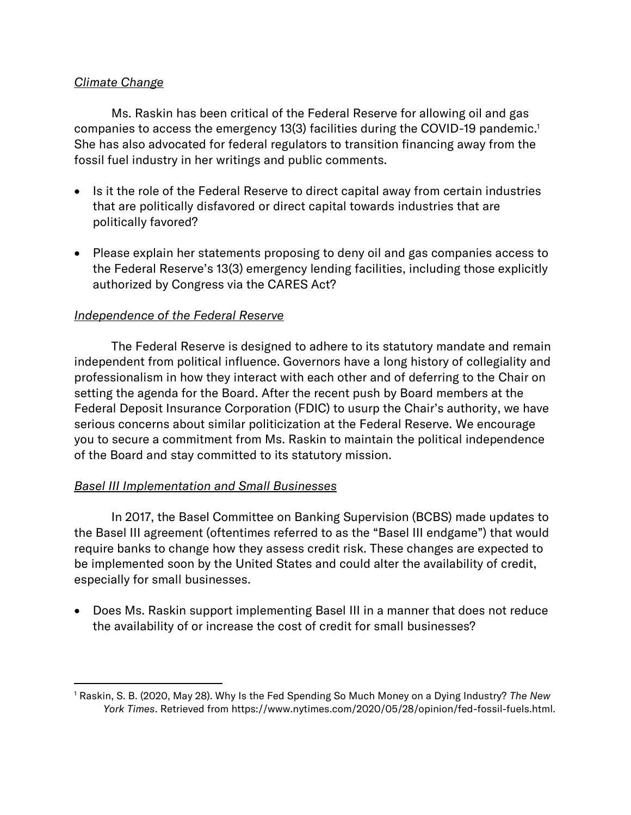## *Climate Change*

Ms. Raskin has been critical of the Federal Reserve for allowing oil and gas companies to access the emergency 13(3) facilities during the COVID-19 pandemic.<sup>1</sup> She has also advocated for federal regulators to transition financing away from the fossil fuel industry in her writings and public comments.

- Is it the role of the Federal Reserve to direct capital away from certain industries that are politically disfavored or direct capital towards industries that are politically favored?
- Please explain her statements proposing to deny oil and gas companies access to the Federal Reserve's 13(3) emergency lending facilities, including those explicitly authorized by Congress via the CARES Act?

## *Independence of the Federal Reserve*

The Federal Reserve is designed to adhere to its statutory mandate and remain independent from political influence. Governors have a long history of collegiality and professionalism in how they interact with each other and of deferring to the Chair on setting the agenda for the Board. After the recent push by Board members at the Federal Deposit Insurance Corporation (FDIC) to usurp the Chair's authority, we have serious concerns about similar politicization at the Federal Reserve. We encourage you to secure a commitment from Ms. Raskin to maintain the political independence of the Board and stay committed to its statutory mission.

#### *Basel III Implementation and Small Businesses*

In 2017, the Basel Committee on Banking Supervision (BCBS) made updates to the Basel III agreement (oftentimes referred to as the "Basel III endgame") that would require banks to change how they assess credit risk. These changes are expected to be implemented soon by the United States and could alter the availability of credit, especially for small businesses.

• Does Ms. Raskin support implementing Basel III in a manner that does not reduce the availability of or increase the cost of credit for small businesses?

<sup>1</sup> Raskin, S. B. (2020, May 28). Why Is the Fed Spending So Much Money on a Dying Industry? *The New York Times*. Retrieved from https://www.nytimes.com/2020/05/28/opinion/fed-fossil-fuels.html.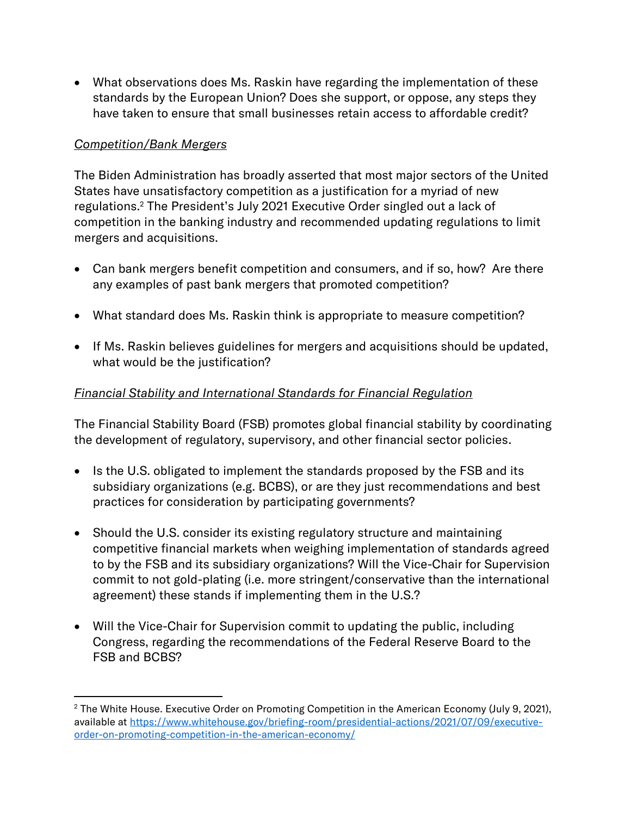• What observations does Ms. Raskin have regarding the implementation of these standards by the European Union? Does she support, or oppose, any steps they have taken to ensure that small businesses retain access to affordable credit?

# *Competition/Bank Mergers*

The Biden Administration has broadly asserted that most major sectors of the United States have unsatisfactory competition as a justification for a myriad of new regulations.<sup>2</sup> The President's July 2021 Executive Order singled out a lack of competition in the banking industry and recommended updating regulations to limit mergers and acquisitions.

- Can bank mergers benefit competition and consumers, and if so, how? Are there any examples of past bank mergers that promoted competition?
- What standard does Ms. Raskin think is appropriate to measure competition?
- If Ms. Raskin believes guidelines for mergers and acquisitions should be updated, what would be the justification?

# *Financial Stability and International Standards for Financial Regulation*

The Financial Stability Board (FSB) promotes global financial stability by coordinating the development of regulatory, supervisory, and other financial sector policies.

- Is the U.S. obligated to implement the standards proposed by the FSB and its subsidiary organizations (e.g. BCBS), or are they just recommendations and best practices for consideration by participating governments?
- Should the U.S. consider its existing regulatory structure and maintaining competitive financial markets when weighing implementation of standards agreed to by the FSB and its subsidiary organizations? Will the Vice-Chair for Supervision commit to not gold-plating (i.e. more stringent/conservative than the international agreement) these stands if implementing them in the U.S.?
- Will the Vice-Chair for Supervision commit to updating the public, including Congress, regarding the recommendations of the Federal Reserve Board to the FSB and BCBS?

<sup>&</sup>lt;sup>2</sup> The White House. Executive Order on Promoting Competition in the American Economy (July 9, 2021), available at [https://www.whitehouse.gov/briefing-room/presidential-actions/2021/07/09/executive](https://www.whitehouse.gov/briefing-room/presidential-actions/2021/07/09/executive-order-on-promoting-competition-in-the-american-economy/)[order-on-promoting-competition-in-the-american-economy/](https://www.whitehouse.gov/briefing-room/presidential-actions/2021/07/09/executive-order-on-promoting-competition-in-the-american-economy/)